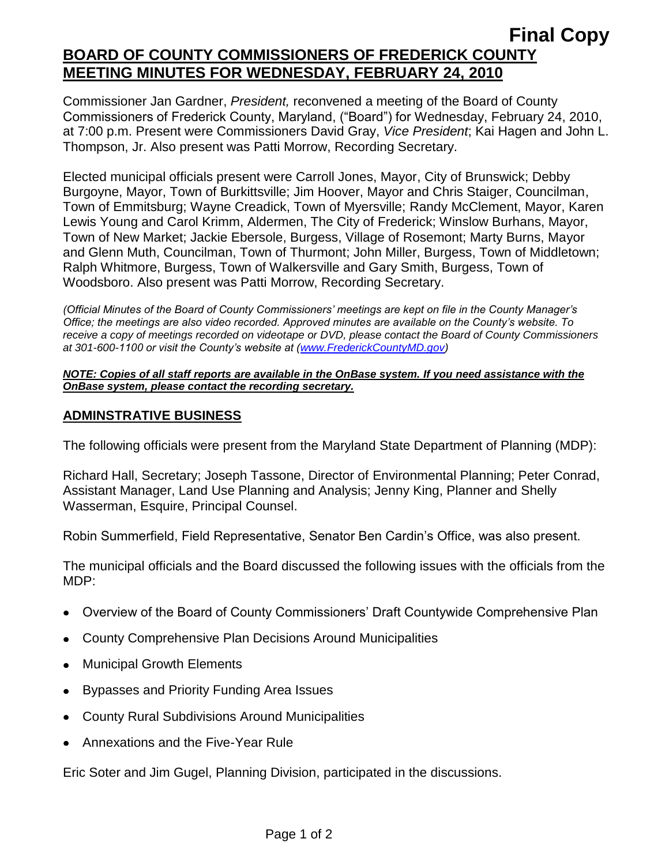# **Final Copy BOARD OF COUNTY COMMISSIONERS OF FREDERICK COUNTY MEETING MINUTES FOR WEDNESDAY, FEBRUARY 24, 2010**

Commissioner Jan Gardner, *President,* reconvened a meeting of the Board of County Commissioners of Frederick County, Maryland, ("Board") for Wednesday, February 24, 2010, at 7:00 p.m. Present were Commissioners David Gray, *Vice President*; Kai Hagen and John L. Thompson, Jr. Also present was Patti Morrow, Recording Secretary.

Elected municipal officials present were Carroll Jones, Mayor, City of Brunswick; Debby Burgoyne, Mayor, Town of Burkittsville; Jim Hoover, Mayor and Chris Staiger, Councilman, Town of Emmitsburg; Wayne Creadick, Town of Myersville; Randy McClement, Mayor, Karen Lewis Young and Carol Krimm, Aldermen, The City of Frederick; Winslow Burhans, Mayor, Town of New Market; Jackie Ebersole, Burgess, Village of Rosemont; Marty Burns, Mayor and Glenn Muth, Councilman, Town of Thurmont; John Miller, Burgess, Town of Middletown; Ralph Whitmore, Burgess, Town of Walkersville and Gary Smith, Burgess, Town of Woodsboro. Also present was Patti Morrow, Recording Secretary.

*(Official Minutes of the Board of County Commissioners' meetings are kept on file in the County Manager's Office; the meetings are also video recorded. Approved minutes are available on the County's website. To receive a copy of meetings recorded on videotape or DVD, please contact the Board of County Commissioners at 301-600-1100 or visit the County's website at [\(www.FrederickCountyMD.gov\)](http://www.frederickcountymd.gov/)*

#### *NOTE: Copies of all staff reports are available in the OnBase system. If you need assistance with the OnBase system, please contact the recording secretary.*

#### **ADMINSTRATIVE BUSINESS**

The following officials were present from the Maryland State Department of Planning (MDP):

Richard Hall, Secretary; Joseph Tassone, Director of Environmental Planning; Peter Conrad, Assistant Manager, Land Use Planning and Analysis; Jenny King, Planner and Shelly Wasserman, Esquire, Principal Counsel.

Robin Summerfield, Field Representative, Senator Ben Cardin's Office, was also present.

The municipal officials and the Board discussed the following issues with the officials from the MDP:

- Overview of the Board of County Commissioners' Draft Countywide Comprehensive Plan
- County Comprehensive Plan Decisions Around Municipalities
- Municipal Growth Elements
- Bypasses and Priority Funding Area Issues
- County Rural Subdivisions Around Municipalities
- Annexations and the Five-Year Rule

Eric Soter and Jim Gugel, Planning Division, participated in the discussions.